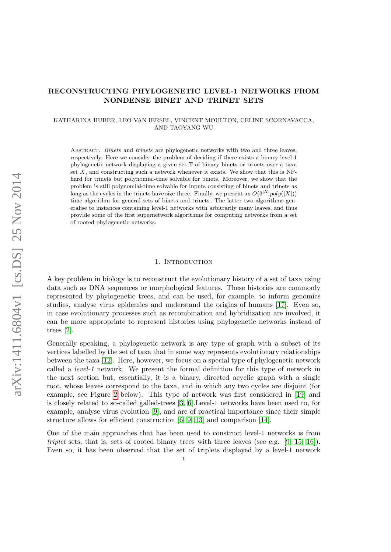# RECONSTRUCTING PHYLOGENETIC LEVEL-1 NETWORKS FROM NONDENSE BINET AND TRINET SETS

## KATHARINA HUBER, LEO VAN IERSEL, VINCENT MOULTON, CELINE SCORNAVACCA, AND TAOYANG WU

ABSTRACT. Binets and trinets are phylogenetic networks with two and three leaves, respectively. Here we consider the problem of deciding if there exists a binary level-1 phylogenetic network displaying a given set T of binary binets or trinets over a taxa set  $X$ , and constructing such a network whenever it exists. We show that this is NPhard for trinets but polynomial-time solvable for binets. Moreover, we show that the problem is still polynomial-time solvable for inputs consisting of binets and trinets as long as the cycles in the trinets have size three. Finally, we present an  $O(3^{|X|}poly(|X|))$ time algorithm for general sets of binets and trinets. The latter two algorithms generalise to instances containing level-1 networks with arbitrarily many leaves, and thus provide some of the first supernetwork algorithms for computing networks from a set of rooted phylogenetic networks.

## 1. INTRODUCTION

A key problem in biology is to reconstruct the evolutionary history of a set of taxa using data such as DNA sequences or morphological features. These histories are commonly represented by phylogenetic trees, and can be used, for example, to inform genomics studies, analyse virus epidemics and understand the origins of humans [\[17\]](#page-24-0). Even so, in case evolutionary processes such as recombination and hybridization are involved, it can be more appropriate to represent histories using phylogenetic networks instead of trees [\[2\]](#page-24-1).

Generally speaking, a phylogenetic network is any type of graph with a subset of its vertices labelled by the set of taxa that in some way represents evolutionary relationships between the taxa [\[12\]](#page-24-2). Here, however, we focus on a special type of phylogenetic network called a level-1 network. We present the formal definition for this type of network in the next section but, essentially, it is a binary, directed acyclic graph with a single root, whose leaves correspond to the taxa, and in which any two cycles are disjoint (for example, see Figure [2](#page-4-0) below). This type of network was first considered in [\[19\]](#page-24-3) and is closely related to so-called galled-trees [\[3,](#page-24-4) [6\]](#page-24-5).Level-1 networks have been used to, for example, analyse virus evolution [\[9\]](#page-24-6), and are of practical importance since their simple structure allows for efficient construction [\[6,](#page-24-5) [9,](#page-24-6) [13\]](#page-24-7) and comparison [\[14\]](#page-24-8).

One of the main approaches that has been used to construct level-1 networks is from triplet sets, that is, sets of rooted binary trees with three leaves (see e.g. [\[9,](#page-24-6) [15,](#page-24-9) [16\]](#page-24-10)). Even so, it has been observed that the set of triplets displayed by a level-1 network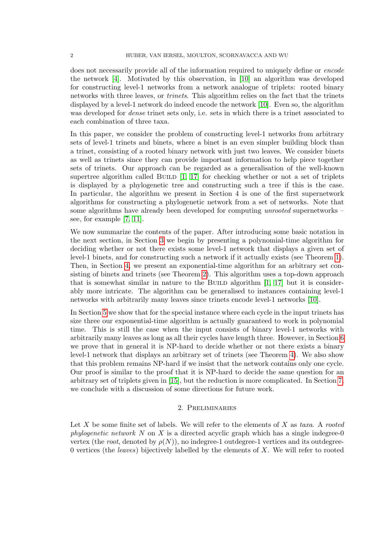does not necessarily provide all of the information required to uniquely define or *encode* the network [\[4\]](#page-24-11). Motivated by this observation, in [\[10\]](#page-24-12) an algorithm was developed for constructing level-1 networks from a network analogue of triplets: rooted binary networks with three leaves, or trinets. This algorithm relies on the fact that the trinets displayed by a level-1 network do indeed encode the network [\[10\]](#page-24-12). Even so, the algorithm was developed for *dense* trinet sets only, i.e. sets in which there is a trinet associated to each combination of three taxa.

In this paper, we consider the problem of constructing level-1 networks from arbitrary sets of level-1 trinets and binets, where a binet is an even simpler building block than a trinet, consisting of a rooted binary network with just two leaves. We consider binets as well as trinets since they can provide important information to help piece together sets of trinets. Our approach can be regarded as a generalisation of the well-known supertree algorithm called BUILD  $[1, 17]$  $[1, 17]$  for checking whether or not a set of triplets is displayed by a phylogenetic tree and constructing such a tree if this is the case. In particular, the algorithm we present in Section 4 is one of the first supernetwork algorithms for constructing a phylogenetic network from a set of networks. Note that some algorithms have already been developed for computing unrooted supernetworks – see, for example [\[7,](#page-24-14) [11\]](#page-24-15).

We now summarize the contents of the paper. After introducing some basic notation in the next section, in Section [3](#page-4-1) we begin by presenting a polynomial-time algorithm for deciding whether or not there exists some level-1 network that displays a given set of level-1 binets, and for constructing such a network if it actually exists (see Theorem [1\)](#page-5-0). Then, in Section [4,](#page-7-0) we present an exponential-time algorithm for an arbitrary set consisting of binets and trinets (see Theorem [2\)](#page-18-0). This algorithm uses a top-down approach that is somewhat similar in nature to the BUILD algorithm  $[1, 17]$  $[1, 17]$  but it is considerably more intricate. The algorithm can be generalised to instances containing level-1 networks with arbitrarily many leaves since trinets encode level-1 networks [\[10\]](#page-24-12).

In Section [5](#page-19-0) we show that for the special instance where each cycle in the input trinets has size three our exponential-time algorithm is actually guaranteed to work in polynomial time. This is still the case when the input consists of binary level-1 networks with arbitrarily many leaves as long as all their cycles have length three. However, in Section [6](#page-20-0) we prove that in general it is NP-hard to decide whether or not there exists a binary level-1 network that displays an arbitrary set of trinets (see Theorem [4\)](#page-20-1). We also show that this problem remains NP-hard if we insist that the network contains only one cycle. Our proof is similar to the proof that it is NP-hard to decide the same question for an arbitrary set of triplets given in [\[15\]](#page-24-9), but the reduction is more complicated. In Section [7,](#page-23-0) we conclude with a discussion of some directions for future work.

## 2. Preliminaries

Let X be some finite set of labels. We will refer to the elements of X as taxa. A rooted phylogenetic network  $N$  on  $X$  is a directed acyclic graph which has a single indegree-0 vertex (the root, denoted by  $\rho(N)$ ), no indegree-1 outdegree-1 vertices and its outdegree-0 vertices (the *leaves*) bijectively labelled by the elements of  $X$ . We will refer to rooted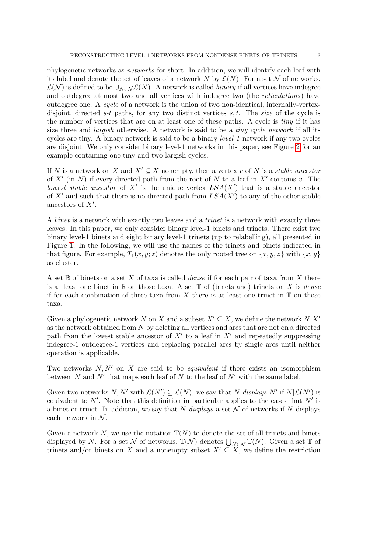phylogenetic networks as networks for short. In addition, we will identify each leaf with its label and denote the set of leaves of a network N by  $\mathcal{L}(N)$ . For a set N of networks,  $\mathcal{L}(\mathcal{N})$  is defined to be  $\cup_{N\in\mathcal{N}}\mathcal{L}(N)$ . A network is called *binary* if all vertices have indegree and outdegree at most two and all vertices with indegree two (the reticulations) have outdegree one. A cycle of a network is the union of two non-identical, internally-vertexdisjoint, directed s-t paths, for any two distinct vertices s, t. The size of the cycle is the number of vertices that are on at least one of these paths. A cycle is tiny if it has size three and *largish* otherwise. A network is said to be a *tiny cycle network* if all its cycles are tiny. A binary network is said to be a binary level-1 network if any two cycles are disjoint. We only consider binary level-1 networks in this paper, see Figure [2](#page-4-0) for an example containing one tiny and two largish cycles.

If N is a network on X and  $X' \subseteq X$  nonempty, then a vertex v of N is a stable ancestor of X' (in N) if every directed path from the root of N to a leaf in X' contains v. The lowest stable ancestor of X' is the unique vertex  $LSA(X')$  that is a stable ancestor of X' and such that there is no directed path from  $LSA(X')$  to any of the other stable ancestors of  $X'$ .

A binet is a network with exactly two leaves and a trinet is a network with exactly three leaves. In this paper, we only consider binary level-1 binets and trinets. There exist two binary level-1 binets and eight binary level-1 trinets (up to relabelling), all presented in Figure [1.](#page-3-0) In the following, we will use the names of the trinets and binets indicated in that figure. For example,  $T_1(x, y; z)$  denotes the only rooted tree on  $\{x, y, z\}$  with  $\{x, y\}$ as cluster.

A set  $\mathbb B$  of binets on a set X of taxa is called *dense* if for each pair of taxa from X there is at least one binet in  $\mathbb B$  on those taxa. A set  $\mathbb T$  of (binets and) trinets on X is *dense* if for each combination of three taxa from X there is at least one trinet in  $\mathbb T$  on those taxa.

Given a phylogenetic network N on X and a subset  $X' \subseteq X$ , we define the network  $N|X'$ as the network obtained from N by deleting all vertices and arcs that are not on a directed path from the lowest stable ancestor of  $X'$  to a leaf in  $X'$  and repeatedly suppressing indegree-1 outdegree-1 vertices and replacing parallel arcs by single arcs until neither operation is applicable.

Two networks  $N, N'$  on X are said to be *equivalent* if there exists an isomorphism between N and  $N'$  that maps each leaf of N to the leaf of  $N'$  with the same label.

Given two networks N, N' with  $\mathcal{L}(N') \subseteq \mathcal{L}(N)$ , we say that N displays N' if  $N|\mathcal{L}(N')|$  is equivalent to  $N'$ . Note that this definition in particular applies to the cases that  $N'$  is a binet or trinet. In addition, we say that N displays a set N of networks if N displays each network in  $N$ .

Given a network N, we use the notation  $\mathbb{T}(N)$  to denote the set of all trinets and binets displayed by N. For a set N of networks,  $\mathbb{T}(\mathcal{N})$  denotes  $\bigcup_{N\in\mathcal{N}}\mathbb{T}(N)$ . Given a set T of trinets and/or binets on X and a nonempty subset  $X' \subseteq X$ , we define the restriction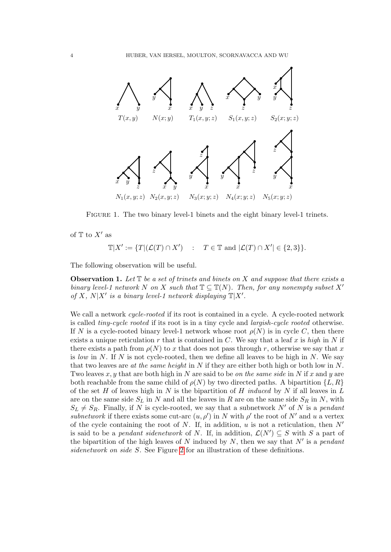

<span id="page-3-0"></span>Figure 1. The two binary level-1 binets and the eight binary level-1 trinets.

of  $\mathbb T$  to  $X'$  as

 $\mathbb{T}|X' := \{T|(\mathcal{L}(T) \cap X') \ : \ T \in \mathbb{T} \text{ and } |\mathcal{L}(T) \cap X'| \in \{2,3\}\}.$ 

The following observation will be useful.

<span id="page-3-1"></span>**Observation 1.** Let  $\mathbb T$  be a set of trinets and binets on X and suppose that there exists a binary level-1 network N on X such that  $\mathbb{T} \subseteq \mathbb{T}(N)$ . Then, for any nonempty subset X' of X,  $N|X'$  is a binary level-1 network displaying  $\mathbb{T}|X'.$ 

We call a network *cycle-rooted* if its root is contained in a cycle. A cycle-rooted network is called tiny-cycle rooted if its root is in a tiny cycle and largish-cycle rooted otherwise. If N is a cycle-rooted binary level-1 network whose root  $\rho(N)$  is in cycle C, then there exists a unique reticulation r that is contained in C. We say that a leaf x is high in N if there exists a path from  $\rho(N)$  to x that does not pass through r, otherwise we say that x is low in N. If N is not cycle-rooted, then we define all leaves to be high in N. We say that two leaves are *at the same height* in N if they are either both high or both low in N. Two leaves x, y that are both high in N are said to be on the same side in N if x and y are both reachable from the same child of  $\rho(N)$  by two directed paths. A bipartition  $\{L, R\}$ of the set H of leaves high in N is the bipartition of H induced by N if all leaves in  $L$ are on the same side  $S_L$  in N and all the leaves in R are on the same side  $S_R$  in N, with  $S_L \neq S_R$ . Finally, if N is cycle-rooted, we say that a subnetwork N' of N is a pendant subnetwork if there exists some cut-arc  $(u, \rho')$  in N with  $\rho'$  the root of N' and u a vertex of the cycle containing the root of N. If, in addition, u is not a reticulation, then  $N'$ is said to be a *pendant sidenetwork* of N. If, in addition,  $\mathcal{L}(N') \subseteq S$  with S a part of the bipartition of the high leaves of N induced by N, then we say that  $N'$  is a pendant sidenetwork on side S. See Figure [2](#page-4-0) for an illustration of these definitions.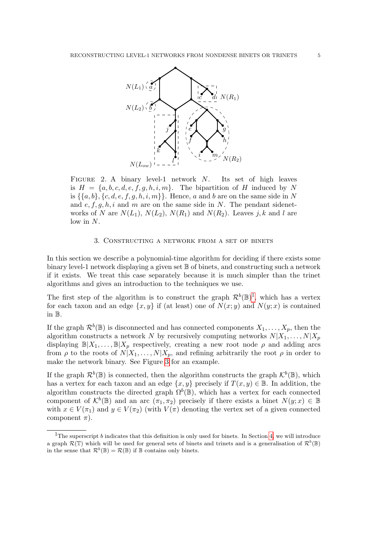

<span id="page-4-0"></span>FIGURE 2. A binary level-1 network N. Its set of high leaves is  $H = \{a, b, c, d, e, f, g, h, i, m\}$ . The bipartition of H induced by N is  $\{\{a, b\}, \{c, d, e, f, g, h, i, m\}\}\$ . Hence, a and b are on the same side in N and  $e, f, g, h, i$  and m are on the same side in N. The pendant sidenetworks of N are  $N(L_1)$ ,  $N(L_2)$ ,  $N(R_1)$  and  $N(R_2)$ . Leaves j, k and l are low in N.

## 3. Constructing a network from a set of binets

<span id="page-4-1"></span>In this section we describe a polynomial-time algorithm for deciding if there exists some binary level-1 network displaying a given set  $\mathbb B$  of binets, and constructing such a network if it exists. We treat this case separately because it is much simpler than the trinet algorithms and gives an introduction to the techniques we use.

The first step of the algorithm is to construct the graph  $\mathcal{R}^b(\mathbb{B})^1$  $\mathcal{R}^b(\mathbb{B})^1$ , which has a vertex for each taxon and an edge  $\{x, y\}$  if (at least) one of  $N(x, y)$  and  $N(y, x)$  is contained in B.

If the graph  $\mathcal{R}^b(\mathbb{B})$  is disconnected and has connected components  $X_1, \ldots, X_p$ , then the algorithm constructs a network N by recursively computing networks  $N|X_1, \ldots, N|X_p$ displaying  $\mathbb{B}[X_1,\ldots,\mathbb{B}[X_p]$  respectively, creating a new root node  $\rho$  and adding arcs from  $\rho$  to the roots of  $N|X_1,\ldots,N|X_p$ , and refining arbitrarily the root  $\rho$  in order to make the network binary. See Figure  $3$  for an example.

If the graph  $\mathcal{R}^b(\mathbb{B})$  is connected, then the algorithm constructs the graph  $\mathcal{K}^b(\mathbb{B})$ , which has a vertex for each taxon and an edge  $\{x, y\}$  precisely if  $T(x, y) \in \mathbb{B}$ . In addition, the algorithm constructs the directed graph  $\Omega^b(\mathbb{B})$ , which has a vertex for each connected component of  $\mathcal{K}^b(\mathbb{B})$  and an arc  $(\pi_1, \pi_2)$  precisely if there exists a binet  $N(y; x) \in \mathbb{B}$ with  $x \in V(\pi_1)$  and  $y \in V(\pi_2)$  (with  $V(\pi)$  denoting the vertex set of a given connected component  $\pi$ ).

<span id="page-4-2"></span><sup>&</sup>lt;sup>1</sup>The superscript b indicates that this definition is only used for binets. In Section [4,](#page-7-0) we will introduce a graph  $\mathcal{R}(\mathbb{T})$  which will be used for general sets of binets and trinets and is a generalisation of  $\mathcal{R}^b(\mathbb{B})$ in the sense that  $\mathcal{R}^b(\mathbb{B}) = \mathcal{R}(\mathbb{B})$  if  $\mathbb B$  contains only binets.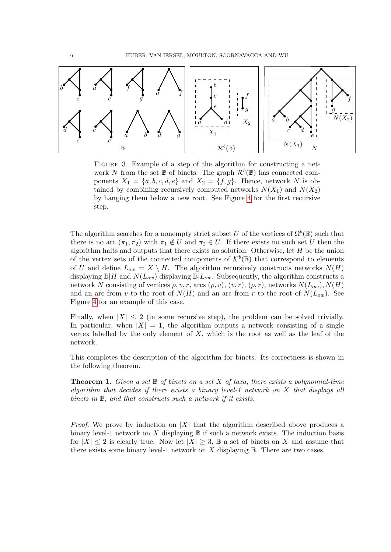

<span id="page-5-1"></span>FIGURE 3. Example of a step of the algorithm for constructing a network N from the set  $\mathbb B$  of binets. The graph  $\mathcal{R}^b(\mathbb B)$  has connected components  $X_1 = \{a, b, c, d, e\}$  and  $X_2 = \{f, g\}$ . Hence, network N is obtained by combining recursively computed networks  $N(X_1)$  and  $N(X_2)$ by hanging them below a new root. See Figure [4](#page-6-0) for the first recursive step.

The algorithm searches for a nonempty strict subset U of the vertices of  $\Omega^b(\mathbb{B})$  such that there is no arc  $(\pi_1, \pi_2)$  with  $\pi_1 \notin U$  and  $\pi_2 \in U$ . If there exists no such set U then the algorithm halts and outputs that there exists no solution. Otherwise, let  $H$  be the union of the vertex sets of the connected components of  $\mathcal{K}^b(\mathbb{B})$  that correspond to elements of U and define  $L_{ow} = X \setminus H$ . The algorithm recursively constructs networks  $N(H)$ displaying  $\mathbb{B}|H$  and  $N(L_{ow})$  displaying  $\mathbb{B}|L_{ow}$ . Subsequently, the algorithm constructs a network N consisting of vertices  $\rho, v, r$ , arcs  $(\rho, v), (v, r), (\rho, r)$ , networks  $N(L_{ow}), N(H)$ and an arc from v to the root of  $N(H)$  and an arc from r to the root of  $N(L_{ow})$ . See Figure [4](#page-6-0) for an example of this case.

Finally, when  $|X| \leq 2$  (in some recursive step), the problem can be solved trivially. In particular, when  $|X| = 1$ , the algorithm outputs a network consisting of a single vertex labelled by the only element of  $X$ , which is the root as well as the leaf of the network.

This completes the description of the algorithm for binets. Its correctness is shown in the following theorem.

<span id="page-5-0"></span>**Theorem 1.** Given a set  $\mathbb B$  of binets on a set X of taxa, there exists a polynomial-time algorithm that decides if there exists a binary level-1 network on X that displays all binets in  $\mathbb B$ , and that constructs such a network if it exists.

*Proof.* We prove by induction on |X| that the algorithm described above produces a binary level-1 network on  $X$  displaying  $\mathbb B$  if such a network exists. The induction basis for  $|X| \leq 2$  is clearly true. Now let  $|X| \geq 3$ ,  $\mathbb{B}$  a set of binets on X and assume that there exists some binary level-1 network on  $X$  displaying  $\mathbb B$ . There are two cases.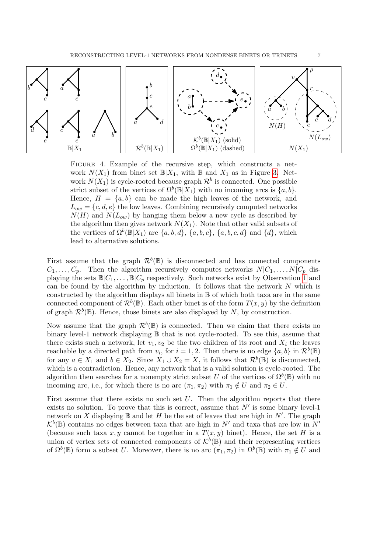

<span id="page-6-0"></span>FIGURE 4. Example of the recursive step, which constructs a network  $N(X_1)$  from binet set  $\mathbb{B}|X_1$ , with  $\mathbb B$  and  $X_1$  as in Figure [3.](#page-5-1) Network  $N(X_1)$  is cycle-rooted because graph  $\mathcal{R}^b$  is connected. One possible strict subset of the vertices of  $\Omega^b(\mathbb{B}|X_1)$  with no incoming arcs is  $\{a, b\}$ . Hence,  $H = \{a, b\}$  can be made the high leaves of the network, and  $L_{ow} = \{c, d, e\}$  the low leaves. Combining recursively computed networks  $N(H)$  and  $N(L_{ow})$  by hanging them below a new cycle as described by the algorithm then gives network  $N(X_1)$ . Note that other valid subsets of the vertices of  $\Omega^b(\mathbb{B}|X_1)$  are  $\{a, b, d\}$ ,  $\{a, b, c\}$ ,  $\{a, b, c, d\}$  and  $\{d\}$ , which lead to alternative solutions.

First assume that the graph  $\mathcal{R}^b(\mathbb{B})$  is disconnected and has connected components  $C_1, \ldots, C_p$ . Then the algorithm recursively computes networks  $N|C_1, \ldots, N|C_p$  displaying the sets  $\mathbb{B}|C_1,\ldots,\mathbb{B}|C_p$  respectively. Such networks exist by Observation [1](#page-3-1) and can be found by the algorithm by induction. It follows that the network  $N$  which is constructed by the algorithm displays all binets in B of which both taxa are in the same connected component of  $\mathcal{R}^b(\mathbb{B})$ . Each other binet is of the form  $T(x, y)$  by the definition of graph  $\mathcal{R}^b(\mathbb{B})$ . Hence, those binets are also displayed by N, by construction.

Now assume that the graph  $\mathcal{R}^b(\mathbb{B})$  is connected. Then we claim that there exists no binary level-1 network displaying B that is not cycle-rooted. To see this, assume that there exists such a network, let  $v_1, v_2$  be the two children of its root and  $X_i$  the leaves reachable by a directed path from  $v_i$ , for  $i = 1, 2$ . Then there is no edge  $\{a, b\}$  in  $\mathcal{R}^b(\mathbb{B})$ for any  $a \in X_1$  and  $b \in X_2$ . Since  $X_1 \cup X_2 = X$ , it follows that  $\mathcal{R}^b(\mathbb{B})$  is disconnected, which is a contradiction. Hence, any network that is a valid solution is cycle-rooted. The algorithm then searches for a nonempty strict subset U of the vertices of  $\Omega^b(\mathbb{B})$  with no incoming arc, i.e., for which there is no arc  $(\pi_1, \pi_2)$  with  $\pi_1 \notin U$  and  $\pi_2 \in U$ .

First assume that there exists no such set  $U$ . Then the algorithm reports that there exists no solution. To prove that this is correct, assume that  $N'$  is some binary level-1 network on X displaying  $\mathbb B$  and let H be the set of leaves that are high in N'. The graph  $\mathcal{K}^b(\mathbb{B})$  contains no edges between taxa that are high in N' and taxa that are low in N' (because such taxa x, y cannot be together in a  $T(x, y)$  binet). Hence, the set H is a union of vertex sets of connected components of  $\mathcal{K}^b(\mathbb{B})$  and their representing vertices of  $\Omega^b(\mathbb{B})$  form a subset U. Moreover, there is no arc  $(\pi_1, \pi_2)$  in  $\Omega^b(\mathbb{B})$  with  $\pi_1 \notin U$  and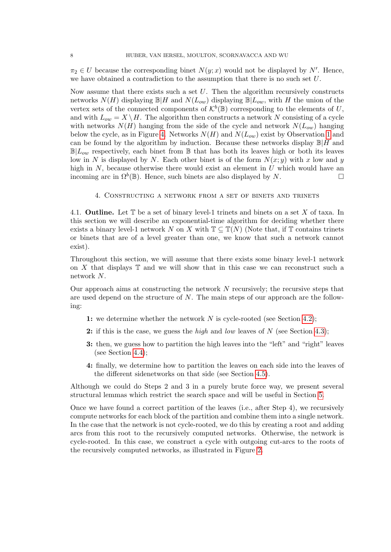$\pi_2 \in U$  because the corresponding binet  $N(y; x)$  would not be displayed by N'. Hence, we have obtained a contradiction to the assumption that there is no such set  $U$ .

Now assume that there exists such a set  $U$ . Then the algorithm recursively constructs networks  $N(H)$  displaying  $\mathbb{B}|H$  and  $N(L_{ow})$  displaying  $\mathbb{B}|L_{ow}$ , with H the union of the vertex sets of the connected components of  $\mathcal{K}^b(\mathbb{B})$  corresponding to the elements of U, and with  $L_{ow} = X \setminus H$ . The algorithm then constructs a network N consisting of a cycle with networks  $N(H)$  hanging from the side of the cycle and network  $N(L_{ow})$  hanging below the cycle, as in Figure [4.](#page-6-0) Networks  $N(H)$  and  $N(L_{ow})$  exist by Observation [1](#page-3-1) and can be found by the algorithm by induction. Because these networks display  $\mathbb{B}|H$  and  $\mathbb{B}[L_{ow}]$  respectively, each binet from  $\mathbb{B}$  that has both its leaves high or both its leaves low in N is displayed by N. Each other binet is of the form  $N(x; y)$  with x low and y high in  $N$ , because otherwise there would exist an element in  $U$  which would have an incoming arc in  $\Omega^b(\mathbb{B})$ . Hence, such binets are also displayed by N.

4. Constructing a network from a set of binets and trinets

<span id="page-7-0"></span>4.1. **Outline.** Let  $\mathbb T$  be a set of binary level-1 trinets and binets on a set X of taxa. In this section we will describe an exponential-time algorithm for deciding whether there exists a binary level-1 network N on X with  $\mathbb{T} \subseteq \mathbb{T}(N)$  (Note that, if T contains trinets or binets that are of a level greater than one, we know that such a network cannot exist).

Throughout this section, we will assume that there exists some binary level-1 network on  $X$  that displays  $\mathbb T$  and we will show that in this case we can reconstruct such a network N.

Our approach aims at constructing the network  $N$  recursively; the recursive steps that are used depend on the structure of  $N$ . The main steps of our approach are the following:

- 1: we determine whether the network  $N$  is cycle-rooted (see Section [4.2\)](#page-8-0);
- 2: if this is the case, we guess the *high* and *low* leaves of  $N$  (see Section [4.3\)](#page-9-0);
- 3: then, we guess how to partition the high leaves into the "left" and "right" leaves (see Section [4.4\)](#page-13-0);
- 4: finally, we determine how to partition the leaves on each side into the leaves of the different sidenetworks on that side (see Section [4.5\)](#page-14-0).

Although we could do Steps 2 and 3 in a purely brute force way, we present several structural lemmas which restrict the search space and will be useful in Section [5.](#page-19-0)

Once we have found a correct partition of the leaves (i.e., after Step 4), we recursively compute networks for each block of the partition and combine them into a single network. In the case that the network is not cycle-rooted, we do this by creating a root and adding arcs from this root to the recursively computed networks. Otherwise, the network is cycle-rooted. In this case, we construct a cycle with outgoing cut-arcs to the roots of the recursively computed networks, as illustrated in Figure [2.](#page-4-0)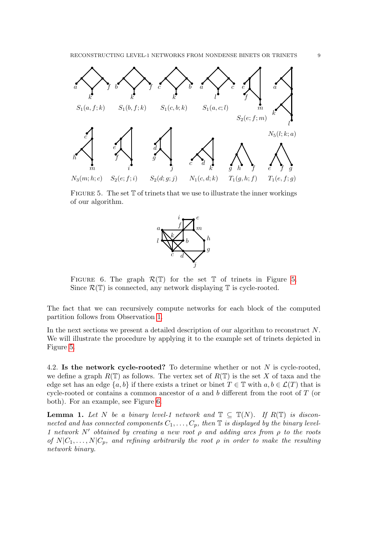

<span id="page-8-1"></span>FIGURE 5. The set  $T$  of trinets that we use to illustrate the inner workings of our algorithm.



<span id="page-8-2"></span>FIGURE 6. The graph  $\mathcal{R}(\mathbb{T})$  for the set  $\mathbb{T}$  of trinets in Figure [5.](#page-8-1) Since  $\mathcal{R}(\mathbb{T})$  is connected, any network displaying  $\mathbb{T}$  is cycle-rooted.

The fact that we can recursively compute networks for each block of the computed partition follows from Observation [1.](#page-3-1)

In the next sections we present a detailed description of our algorithm to reconstruct N. We will illustrate the procedure by applying it to the example set of trinets depicted in Figure [5.](#page-8-1)

<span id="page-8-0"></span>4.2. Is the network cycle-rooted? To determine whether or not  $N$  is cycle-rooted, we define a graph  $R(\mathbb{T})$  as follows. The vertex set of  $R(\mathbb{T})$  is the set X of taxa and the edge set has an edge  $\{a, b\}$  if there exists a trinet or binet  $T \in \mathbb{T}$  with  $a, b \in \mathcal{L}(T)$  that is cycle-rooted or contains a common ancestor of a and b different from the root of  $T$  (or both). For an example, see Figure [6.](#page-8-2)

<span id="page-8-3"></span>**Lemma 1.** Let N be a binary level-1 network and  $\mathbb{T} \subseteq \mathbb{T}(N)$ . If  $R(\mathbb{T})$  is disconnected and has connected components  $C_1, \ldots, C_p$ , then  $\mathbb T$  is displayed by the binary level-1 network N' obtained by creating a new root  $\rho$  and adding arcs from  $\rho$  to the roots of  $N|C_1, \ldots, N|C_p$ , and refining arbitrarily the root  $\rho$  in order to make the resulting network binary.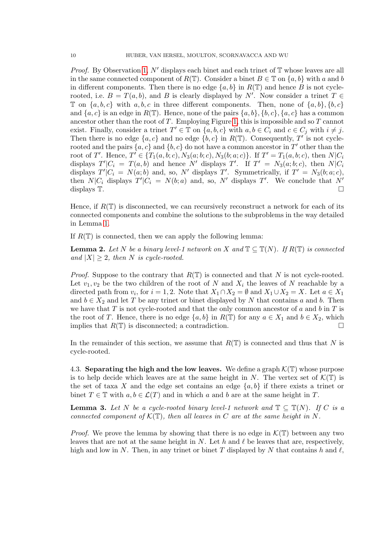*Proof.* By Observation [1,](#page-3-1)  $N'$  displays each binet and each trinet of  $\mathbb T$  whose leaves are all in the same connected component of  $R(\mathbb{T})$ . Consider a binet  $B \in \mathbb{T}$  on  $\{a, b\}$  with a and b in different components. Then there is no edge  $\{a, b\}$  in  $R(\mathbb{T})$  and hence B is not cyclerooted, i.e.  $B = T(a, b)$ , and B is clearly displayed by N'. Now consider a trinet  $T \in \mathbb{R}$  $\mathbb T$  on  $\{a, b, c\}$  with  $a, b, c$  in three different components. Then, none of  $\{a, b\}, \{b, c\}$ and  $\{a, c\}$  is an edge in  $R(\mathbb{T})$ . Hence, none of the pairs  $\{a, b\}, \{b, c\}, \{a, c\}$  has a common ancestor other than the root of  $T$ . Employing Figure [1,](#page-3-0) this is impossible and so  $T$  cannot exist. Finally, consider a trinet  $T' \in \mathbb{T}$  on  $\{a, b, c\}$  with  $a, b \in C_i$  and  $c \in C_j$  with  $i \neq j$ . Then there is no edge  $\{a, c\}$  and no edge  $\{b, c\}$  in  $R(\mathbb{T})$ . Consequently, T' is not cyclerooted and the pairs  $\{a, c\}$  and  $\{b, c\}$  do not have a common ancestor in T' other than the root of T'. Hence,  $T' \in \{T_1(a, b; c), N_3(a; b; c), N_3(b; a; c)\}$ . If  $T' = T_1(a, b; c)$ , then  $N|C_i$ displays  $T'|C_i = T(a, b)$  and hence N' displays T'. If  $T' = N_3(a; b; c)$ , then  $N|C_i$ displays  $T'|C_i = N(a;b)$  and, so, N' displays T'. Symmetrically, if  $T' = N_3(b;a;c)$ , then  $N|C_i$  displays  $T'|C_i = N(b;a)$  and, so, N' displays T'. We conclude that N' displays  $\mathbb{T}$ .

Hence, if  $R(\mathbb{T})$  is disconnected, we can recursively reconstruct a network for each of its connected components and combine the solutions to the subproblems in the way detailed in Lemma [1.](#page-8-3)

If  $R(\mathbb{T})$  is connected, then we can apply the following lemma:

<span id="page-9-2"></span>**Lemma 2.** Let N be a binary level-1 network on X and  $\mathbb{T} \subseteq \mathbb{T}(N)$ . If  $R(\mathbb{T})$  is connected and  $|X| \geq 2$ , then N is cycle-rooted.

*Proof.* Suppose to the contrary that  $R(\mathbb{T})$  is connected and that N is not cycle-rooted. Let  $v_1, v_2$  be the two children of the root of N and  $X_i$  the leaves of N reachable by a directed path from  $v_i$ , for  $i = 1, 2$ . Note that  $X_1 \cap X_2 = \emptyset$  and  $X_1 \cup X_2 = X$ . Let  $a \in X_1$ and  $b \in X_2$  and let T be any trinet or binet displayed by N that contains a and b. Then we have that T is not cycle-rooted and that the only common ancestor of a and b in T is the root of T. Hence, there is no edge  $\{a, b\}$  in  $R(\mathbb{T})$  for any  $a \in X_1$  and  $b \in X_2$ , which implies that  $R(\mathbb{T})$  is disconnected: a contradiction. implies that  $R(\mathbb{T})$  is disconnected; a contradiction.

In the remainder of this section, we assume that  $R(\mathbb{T})$  is connected and thus that N is cycle-rooted.

<span id="page-9-0"></span>4.3. Separating the high and the low leaves. We define a graph  $\mathcal{K}(\mathbb{T})$  whose purpose is to help decide which leaves are at the same height in N. The vertex set of  $\mathcal{K}(\mathbb{T})$  is the set of taxa X and the edge set contains an edge  $\{a, b\}$  if there exists a trinet or binet  $T \in \mathbb{T}$  with  $a, b \in \mathcal{L}(T)$  and in which a and b are at the same height in T.

<span id="page-9-1"></span>**Lemma 3.** Let N be a cycle-rooted binary level-1 network and  $\mathbb{T} \subseteq \mathbb{T}(N)$ . If C is a connected component of  $\mathcal{K}(\mathbb{T})$ , then all leaves in C are at the same height in N.

*Proof.* We prove the lemma by showing that there is no edge in  $\mathcal{K}(\mathbb{T})$  between any two leaves that are not at the same height in N. Let h and  $\ell$  be leaves that are, respectively, high and low in N. Then, in any trinet or binet T displayed by N that contains h and  $\ell$ ,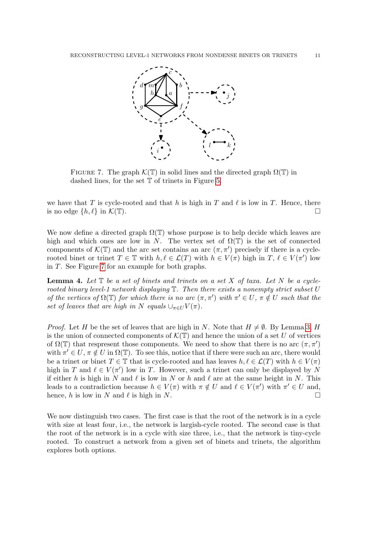

<span id="page-10-0"></span>FIGURE 7. The graph  $\mathcal{K}(\mathbb{T})$  in solid lines and the directed graph  $\Omega(\mathbb{T})$  in dashed lines, for the set T of trinets in Figure [5.](#page-8-1)

we have that T is cycle-rooted and that h is high in T and  $\ell$  is low in T. Hence, there is no edge  $\{h, \ell\}$  in  $\mathcal{K}(\mathbb{T})$ .

We now define a directed graph  $\Omega(\mathbb{T})$  whose purpose is to help decide which leaves are high and which ones are low in N. The vertex set of  $\Omega(\mathbb{T})$  is the set of connected components of  $\mathcal{K}(\mathbb{T})$  and the arc set contains an arc  $(\pi, \pi')$  precisely if there is a cyclerooted binet or trinet  $T \in \mathbb{T}$  with  $h, \ell \in \mathcal{L}(T)$  with  $h \in V(\pi)$  high in  $T, \ell \in V(\pi')$  low in T. See Figure [7](#page-10-0) for an example for both graphs.

<span id="page-10-1"></span>**Lemma 4.** Let  $\mathbb T$  be a set of binets and trinets on a set  $X$  of taxa. Let  $N$  be a cyclerooted binary level-1 network displaying  $\mathbb T$ . Then there exists a nonempty strict subset U of the vertices of  $\Omega(\mathbb{T})$  for which there is no arc  $(\pi, \pi')$  with  $\pi' \in U$ ,  $\pi \notin U$  such that the set of leaves that are high in N equals  $\cup_{\pi \in U} V(\pi)$ .

*Proof.* Let H be the set of leaves that are high in N. Note that  $H \neq \emptyset$ . By Lemma [3,](#page-9-1) H is the union of connected components of  $\mathcal{K}(\mathbb{T})$  and hence the union of a set U of vertices of  $\Omega(\mathbb{T})$  that respresent those components. We need to show that there is no arc  $(\pi, \pi')$ with  $\pi' \in U$ ,  $\pi \notin U$  in  $\Omega(\mathbb{T})$ . To see this, notice that if there were such an arc, there would be a trinet or binet  $T \in \mathbb{T}$  that is cycle-rooted and has leaves  $h, \ell \in \mathcal{L}(T)$  with  $h \in V(\pi)$ high in T and  $\ell \in V(\pi')$  low in T. However, such a trinet can only be displayed by N if either h is high in N and  $\ell$  is low in N or h and  $\ell$  are at the same height in N. This leads to a contradiction because  $h \in V(\pi)$  with  $\pi \notin U$  and  $\ell \in V(\pi')$  with  $\pi' \in U$  and, hence, h is low in N and  $\ell$  is high in N.

We now distinguish two cases. The first case is that the root of the network is in a cycle with size at least four, i.e., the network is largish-cycle rooted. The second case is that the root of the network is in a cycle with size three, i.e., that the network is tiny-cycle rooted. To construct a network from a given set of binets and trinets, the algorithm explores both options.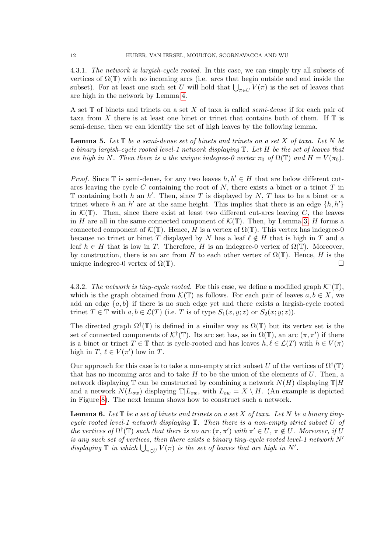4.3.1. The network is largish-cycle rooted. In this case, we can simply try all subsets of vertices of  $\Omega(\mathbb{T})$  with no incoming arcs (i.e. arcs that begin outside and end inside the subset). For at least one such set U will hold that  $\bigcup_{\pi \in U} V(\pi)$  is the set of leaves that are high in the network by Lemma [4.](#page-10-1)

A set T of binets and trinets on a set X of taxa is called semi-dense if for each pair of taxa from X there is at least one binet or trinet that contains both of them. If  $\mathbb T$  is semi-dense, then we can identify the set of high leaves by the following lemma.

**Lemma 5.** Let  $\mathbb{T}$  be a semi-dense set of binets and trinets on a set  $X$  of taxa. Let  $N$  be a binary largish-cycle rooted level-1 network displaying T. Let H be the set of leaves that are high in N. Then there is a the unique indegree-0 vertex  $\pi_0$  of  $\Omega(\mathbb{T})$  and  $H = V(\pi_0)$ .

*Proof.* Since  $\mathbb T$  is semi-dense, for any two leaves  $h, h' \in H$  that are below different cutarcs leaving the cycle C containing the root of  $N$ , there exists a binet or a trinet  $T$  in  $\mathbb T$  containing both h an h'. Then, since T is displayed by N, T has to be a binet or a trinet where h an h' are at the same height. This implies that there is an edge  $\{h, h'\}$ in  $\mathcal{K}(\mathbb{T})$ . Then, since there exist at least two different cut-arcs leaving C, the leaves in H are all in the same connected component of  $\mathcal{K}(\mathbb{T})$ . Then, by Lemma [3,](#page-9-1) H forms a connected component of  $\mathcal{K}(\mathbb{T})$ . Hence, H is a vertex of  $\Omega(\mathbb{T})$ . This vertex has indegree-0 because no trinet or binet T displayed by N has a leaf  $\ell \notin H$  that is high in T and a leaf  $h \in H$  that is low in T. Therefore, H is an indegree-0 vertex of  $\Omega(\mathbb{T})$ . Moreover, by construction, there is an arc from H to each other vertex of  $\Omega(\mathbb{T})$ . Hence, H is the unique indegree-0 vertex of  $\Omega(\mathbb{T})$ .

4.3.2. The network is tiny-cycle rooted. For this case, we define a modified graph  $\mathcal{K}^{\dagger}(\mathbb{T})$ , which is the graph obtained from  $\mathcal{K}(\mathbb{T})$  as follows. For each pair of leaves  $a, b \in X$ , we add an edge  $\{a, b\}$  if there is no such edge yet and there exists a largish-cycle rooted trinet  $T \in \mathbb{T}$  with  $a, b \in \mathcal{L}(T)$  (i.e. T is of type  $S_1(x, y; z)$  or  $S_2(x; y; z)$ ).

The directed graph  $\Omega^{\dagger}(\mathbb{T})$  is defined in a similar way as  $\Omega(\mathbb{T})$  but its vertex set is the set of connected components of  $\mathcal{K}^{\dagger}(\mathbb{T})$ . Its arc set has, as in  $\Omega(\mathbb{T})$ , an arc  $(\pi, \pi')$  if there is a binet or trinet  $T \in \mathbb{T}$  that is cycle-rooted and has leaves  $h, \ell \in \mathcal{L}(T)$  with  $h \in V(\pi)$ high in  $T, \ell \in V(\pi')$  low in  $T$ .

Our approach for this case is to take a non-empty strict subset U of the vertices of  $\Omega^{\dagger}(\mathbb{T})$ that has no incoming arcs and to take  $H$  to be the union of the elements of  $U$ . Then, a network displaying  $\mathbb T$  can be constructed by combining a network  $N(H)$  displaying  $\mathbb T|H$ and a network  $N(L_{ow})$  displaying  $\mathbb{T}|L_{ow}$ , with  $L_{ow} = X \setminus H$ . (An example is depicted in Figure [8\)](#page-12-0). The next lemma shows how to construct such a network.

<span id="page-11-0"></span>**Lemma 6.** Let  $\mathbb T$  be a set of binets and trinets on a set X of taxa. Let N be a binary tinycycle rooted level-1 network displaying T. Then there is a non-empty strict subset U of the vertices of  $\Omega^{\dagger}(\mathbb{T})$  such that there is no arc  $(\pi, \pi')$  with  $\pi' \in U$ ,  $\pi \notin U$ . Moreover, if U is any such set of vertices, then there exists a binary tiny-cycle rooted level-1 network  $N'$ displaying  $\mathbb T$  in which  $\bigcup_{\pi \in U} V(\pi)$  is the set of leaves that are high in N'.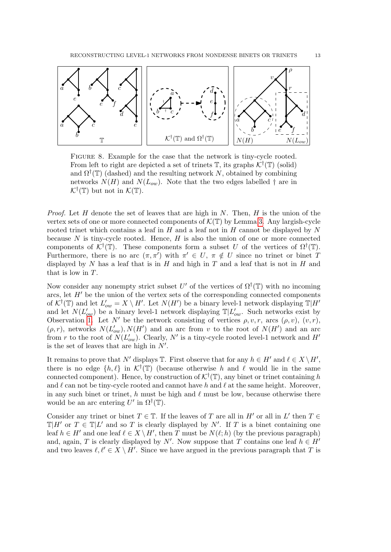

<span id="page-12-0"></span>Figure 8. Example for the case that the network is tiny-cycle rooted. From left to right are depicted a set of trinets  $\mathbb{T}$ , its graphs  $\mathcal{K}^{\dagger}(\mathbb{T})$  (solid) and  $\Omega^{\dagger}(\mathbb{T})$  (dashed) and the resulting network N, obtained by combining networks  $N(H)$  and  $N(L_{ow})$ . Note that the two edges labelled  $\dagger$  are in  $\mathcal{K}^{\dagger}(\mathbb{T})$  but not in  $\mathcal{K}(\mathbb{T})$ .

*Proof.* Let H denote the set of leaves that are high in N. Then, H is the union of the vertex sets of one or more connected components of  $\mathcal{K}(\mathbb{T})$  by Lemma [3.](#page-9-1) Any largish-cycle rooted trinet which contains a leaf in  $H$  and a leaf not in  $H$  cannot be displayed by  $N$ because  $N$  is tiny-cycle rooted. Hence,  $H$  is also the union of one or more connected components of  $\mathcal{K}^{\dagger}(\mathbb{T})$ . These components form a subset U of the vertices of  $\Omega^{\dagger}(\mathbb{T})$ . Furthermore, there is no arc  $(\pi, \pi')$  with  $\pi' \in U$ ,  $\pi \notin U$  since no trinet or binet T displayed by  $N$  has a leaf that is in  $H$  and high in  $T$  and a leaf that is not in  $H$  and that is low in T.

Now consider any nonempty strict subset  $U'$  of the vertices of  $\Omega^{\dagger}(\mathbb{T})$  with no incoming arcs, let  $H'$  be the union of the vertex sets of the corresponding connected components of  $\mathcal{K}^{\dagger}(\mathbb{T})$  and let  $L'_{ow} = X \setminus H'$ . Let  $N(H')$  be a binary level-1 network displaying  $\mathbb{T}|H'$ and let  $N(L'_{ow})$  be a binary level-1 network displaying  $\mathbb{T}|L'_{ow}$ . Such networks exist by Observation [1.](#page-3-1) Let N' be the network consisting of vertices  $\rho, v, r$ , arcs  $(\rho, v)$ ,  $(v, r)$ ,  $(\rho, r)$ , networks  $N(L'_{ow}), N(H')$  and an arc from v to the root of  $N(H')$  and an arc from r to the root of  $N(L'_{ow})$ . Clearly, N' is a tiny-cycle rooted level-1 network and H' is the set of leaves that are high in  $N'$ .

It remains to prove that N' displays  $\mathbb{T}$ . First observe that for any  $h \in H'$  and  $\ell \in X \setminus H'$ , there is no edge  $\{h, \ell\}$  in  $\mathcal{K}^{\dagger}(\mathbb{T})$  (because otherwise h and  $\ell$  would lie in the same connected component). Hence, by construction of  $\mathcal{K}^{\dagger}(\mathbb{T})$ , any binet or trinet containing h and  $\ell$  can not be tiny-cycle rooted and cannot have h and  $\ell$  at the same height. Moreover, in any such binet or trinet, h must be high and  $\ell$  must be low, because otherwise there would be an arc entering  $U'$  in  $\Omega^{\dagger}(\mathbb{T})$ .

Consider any trinet or binet  $T \in \mathbb{T}$ . If the leaves of T are all in  $H'$  or all in  $L'$  then  $T \in$  $\mathbb{T}|H'$  or  $T \in \mathbb{T}|L'$  and so T is clearly displayed by N'. If T is a binet containing one leaf  $h \in H'$  and one leaf  $\ell \in X \setminus H'$ , then T must be  $N(\ell; h)$  (by the previous paragraph) and, again, T is clearly displayed by N'. Now suppose that T contains one leaf  $h \in H'$ and two leaves  $\ell, \ell' \in X \setminus H'$ . Since we have argued in the previous paragraph that T is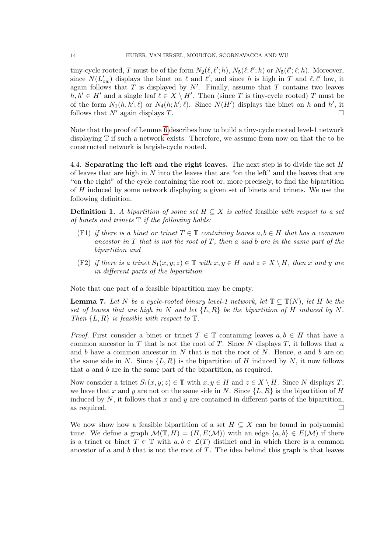tiny-cycle rooted, T must be of the form  $N_2(\ell, \ell';h)$ ,  $N_5(\ell; \ell';h)$  or  $N_5(\ell'; \ell;h)$ . Moreover, since  $N(L'_{ow})$  displays the binet on  $\ell$  and  $\ell'$ , and since h is high in T and  $\ell, \ell'$  low, it again follows that  $T$  is displayed by  $N'$ . Finally, assume that  $T$  contains two leaves  $h, h' \in H'$  and a single leaf  $\ell \in X \setminus H'$ . Then (since T is tiny-cycle rooted) T must be of the form  $N_1(h, h'; \ell)$  or  $N_4(h; h'; \ell)$ . Since  $N(H')$  displays the binet on h and h', it follows that  $N'$  again displays T.

Note that the proof of Lemma [6](#page-11-0) describes how to build a tiny-cycle rooted level-1 network displaying T if such a network exists. Therefore, we assume from now on that the to be constructed network is largish-cycle rooted.

<span id="page-13-0"></span>4.4. Separating the left and the right leaves. The next step is to divide the set  $H$ of leaves that are high in  $N$  into the leaves that are "on the left" and the leaves that are "on the right" of the cycle containing the root or, more precisely, to find the bipartition of H induced by some network displaying a given set of binets and trinets. We use the following definition.

**Definition 1.** A bipartition of some set  $H \subseteq X$  is called feasible with respect to a set of binets and trinets  $\mathbb T$  if the following holds:

- (F1) if there is a binet or trinet  $T \in \mathbb{T}$  containing leaves  $a, b \in H$  that has a common ancestor in  $T$  that is not the root of  $T$ , then a and b are in the same part of the bipartition and
- (F2) if there is a trinet  $S_1(x, y; z) \in \mathbb{T}$  with  $x, y \in H$  and  $z \in X \setminus H$ , then x and y are in different parts of the bipartition.

Note that one part of a feasible bipartition may be empty.

**Lemma 7.** Let N be a cycle-rooted binary level-1 network, let  $\mathbb{T} \subseteq \mathbb{T}(N)$ , let H be the set of leaves that are high in N and let  $\{L, R\}$  be the bipartition of H induced by N. Then  $\{L, R\}$  is feasible with respect to  $\mathbb{T}$ .

*Proof.* First consider a binet or trinet  $T \in \mathbb{T}$  containing leaves  $a, b \in H$  that have a common ancestor in T that is not the root of T. Since N displays T, it follows that a and  $b$  have a common ancestor in  $N$  that is not the root of  $N$ . Hence,  $a$  and  $b$  are on the same side in N. Since  $\{L, R\}$  is the bipartition of H induced by N, it now follows that a and b are in the same part of the bipartition, as required.

Now consider a trinet  $S_1(x, y; z) \in \mathbb{T}$  with  $x, y \in H$  and  $z \in X \setminus H$ . Since N displays T, we have that x and y are not on the same side in N. Since  $\{L, R\}$  is the bipartition of H induced by  $N$ , it follows that  $x$  and  $y$  are contained in different parts of the bipartition, as required.  $\Box$ 

We now show how a feasible bipartition of a set  $H \subseteq X$  can be found in polynomial time. We define a graph  $\mathcal{M}(\mathbb{T}, H) = (H, E(\mathcal{M}))$  with an edge  $\{a, b\} \in E(\mathcal{M})$  if there is a trinet or binet  $T \in \mathbb{T}$  with  $a, b \in \mathcal{L}(T)$  distinct and in which there is a common ancestor of  $a$  and  $b$  that is not the root of  $T$ . The idea behind this graph is that leaves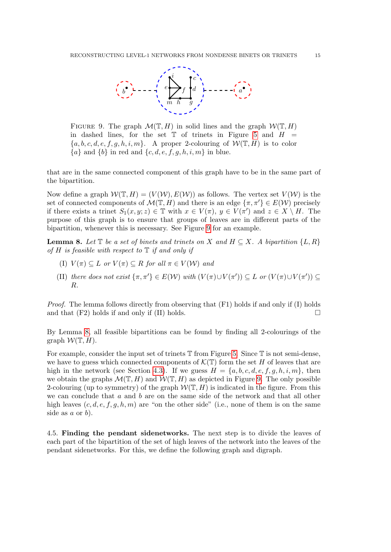

<span id="page-14-1"></span>FIGURE 9. The graph  $\mathcal{M}(\mathbb{T}, H)$  in solid lines and the graph  $\mathcal{W}(\mathbb{T}, H)$ in dashed lines, for the set  $\mathbb T$  of trinets in Figure [5](#page-8-1) and  $H =$  ${a, b, c, d, e, f, g, h, i, m}$ . A proper 2-colouring of  $W(\mathbb{T}, H)$  is to color  ${a}$  and  ${b}$  in red and  ${c, d, e, f, g, h, i, m}$  in blue.

that are in the same connected component of this graph have to be in the same part of the bipartition.

Now define a graph  $\mathcal{W}(\mathbb{T}, H) = (V(\mathcal{W}), E(\mathcal{W}))$  as follows. The vertex set  $V(\mathcal{W})$  is the set of connected components of  $\mathcal{M}(\mathbb{T}, H)$  and there is an edge  $\{\pi, \pi'\} \in E(\mathcal{W})$  precisely if there exists a trinet  $S_1(x, y; z) \in \mathbb{T}$  with  $x \in V(\pi)$ ,  $y \in V(\pi')$  and  $z \in X \setminus H$ . The purpose of this graph is to ensure that groups of leaves are in different parts of the bipartition, whenever this is necessary. See Figure [9](#page-14-1) for an example.

<span id="page-14-2"></span>**Lemma 8.** Let  $\mathbb{T}$  be a set of binets and trinets on X and  $H \subseteq X$ . A bipartition  $\{L, R\}$ of H is feasible with respect to  $\mathbb T$  if and only if

- (I)  $V(\pi) \subset L$  or  $V(\pi) \subset R$  for all  $\pi \in V(\mathcal{W})$  and
- (II) there does not exist  $\{\pi, \pi'\} \in E(\mathcal{W})$  with  $(V(\pi) \cup V(\pi')) \subseteq L$  or  $(V(\pi) \cup V(\pi')) \subseteq$ R.

Proof. The lemma follows directly from observing that (F1) holds if and only if (I) holds and that  $(F2)$  holds if and only if  $(II)$  holds.

By Lemma [8,](#page-14-2) all feasible bipartitions can be found by finding all 2-colourings of the graph  $W(\mathbb{T}, H)$ .

For example, consider the input set of trinets  $\mathbb T$  from Figure [5.](#page-8-1) Since  $\mathbb T$  is not semi-dense, we have to guess which connected components of  $\mathcal{K}(\mathbb{T})$  form the set H of leaves that are high in the network (see Section [4.3\)](#page-9-0). If we guess  $H = \{a, b, c, d, e, f, g, h, i, m\}$ , then we obtain the graphs  $\mathcal{M}(\mathbb{T}, H)$  and  $\mathcal{W}(\mathbb{T}, H)$  as depicted in Figure [9.](#page-14-1) The only possible 2-colouring (up to symmetry) of the graph  $W(\mathbb{T}, H)$  is indicated in the figure. From this we can conclude that a and b are on the same side of the network and that all other high leaves  $(c, d, e, f, g, h, m)$  are "on the other side" (i.e., none of them is on the same side as  $a$  or  $b$ ).

<span id="page-14-0"></span>4.5. Finding the pendant sidenetworks. The next step is to divide the leaves of each part of the bipartition of the set of high leaves of the network into the leaves of the pendant sidenetworks. For this, we define the following graph and digraph.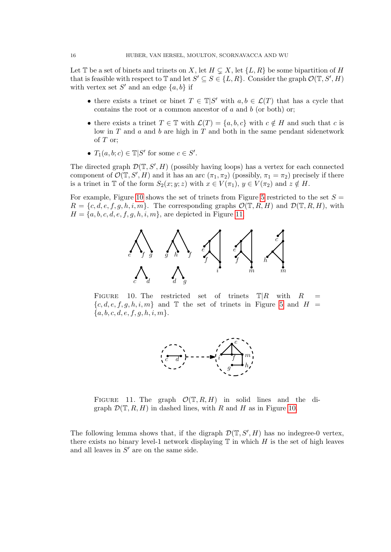Let T be a set of binets and trinets on X, let  $H \subsetneq X$ , let  $\{L, R\}$  be some bipartition of H that is feasible with respect to  $\mathbb{T}$  and let  $S' \subseteq S \in \{L, R\}$ . Consider the graph  $\mathcal{O}(\mathbb{T}, S', H)$ with vertex set  $S'$  and an edge  $\{a, b\}$  if

- there exists a trinet or binet  $T \in \mathbb{T} | S'$  with  $a, b \in \mathcal{L}(T)$  that has a cycle that contains the root or a common ancestor of  $a$  and  $b$  (or both) or;
- there exists a trinet  $T \in \mathbb{T}$  with  $\mathcal{L}(T) = \{a, b, c\}$  with  $c \notin H$  and such that c is low in  $T$  and  $a$  and  $b$  are high in  $T$  and both in the same pendant sidenetwork of  $T$  or;
- $T_1(a, b; c) \in \mathbb{T} | S'$  for some  $c \in S'.$

The directed graph  $\mathcal{D}(\mathbb{T}, S', H)$  (possibly having loops) has a vertex for each connected component of  $\mathcal{O}(\mathbb{T}, S', H)$  and it has an arc  $(\pi_1, \pi_2)$  (possibly,  $\pi_1 = \pi_2$ ) precisely if there is a trinet in T of the form  $S_2(x; y; z)$  with  $x \in V(\pi_1)$ ,  $y \in V(\pi_2)$  and  $z \notin H$ .

For example, Figure [10](#page-15-0) shows the set of trinets from Figure [5](#page-8-1) restricted to the set  $S =$  $R = \{c, d, e, f, g, h, i, m\}$ . The corresponding graphs  $\mathcal{O}(\mathbb{T}, R, H)$  and  $\mathcal{D}(\mathbb{T}, R, H)$ , with  $H = \{a, b, c, d, e, f, g, h, i, m\}$ , are depicted in Figure [11.](#page-15-1)



<span id="page-15-0"></span>FIGURE 10. The restricted set of trinets  $\mathbb{T}|R$  with R  ${c, d, e, f, g, h, i, m}$  and T the set of trinets in Figure [5](#page-8-1) and  $H =$  ${a, b, c, d, e, f, g, h, i, m}.$ 



<span id="page-15-1"></span>FIGURE 11. The graph  $\mathcal{O}(\mathbb{T}, R, H)$  in solid lines and the digraph  $\mathcal{D}(\mathbb{T}, R, H)$  in dashed lines, with R and H as in Figure [10.](#page-15-0)

The following lemma shows that, if the digraph  $\mathcal{D}(\mathbb{T}, S', H)$  has no indegree-0 vertex, there exists no binary level-1 network displaying  $\mathbb T$  in which H is the set of high leaves and all leaves in  $S'$  are on the same side.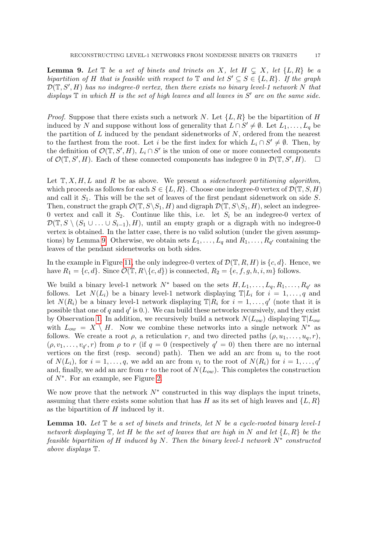<span id="page-16-0"></span>**Lemma 9.** Let  $\mathbb T$  be a set of binets and trinets on X, let  $H \subseteq X$ , let  $\{L, R\}$  be a bipartition of H that is feasible with respect to  $\mathbb T$  and let  $S' \subseteq S \in \{L, R\}$ . If the graph  $\mathcal{D}(\mathbb{T},S',H)$  has no indegree-0 vertex, then there exists no binary level-1 network N that displays  $\mathbb T$  in which  $H$  is the set of high leaves and all leaves in  $S'$  are on the same side.

*Proof.* Suppose that there exists such a network N. Let  $\{L, R\}$  be the bipartition of H induced by N and suppose without loss of generality that  $L \cap S' \neq \emptyset$ . Let  $L_1, \ldots, L_q$  be the partition of  $L$  induced by the pendant sidenetworks of  $N$ , ordered from the nearest to the farthest from the root. Let i be the first index for which  $L_i \cap S' \neq \emptyset$ . Then, by the definition of  $\mathcal{O}(\mathbb{T}, S', H)$ ,  $L_i \cap S'$  is the union of one or more connected components of  $\mathcal{O}(\mathbb{T}, S', H)$ . Each of these connected components has indegree 0 in  $\mathcal{D}(\mathbb{T}, S', H)$ .  $\Box$ 

Let  $\mathbb{T}, X, H, L$  and R be as above. We present a *sidenatwork partitioning algorithm*, which proceeds as follows for each  $S \in \{L, R\}$ . Choose one indegree-0 vertex of  $\mathcal{D}(\mathbb{T}, S, H)$ and call it  $S_1$ . This will be the set of leaves of the first pendant sidenetwork on side S. Then, construct the graph  $\mathcal{O}(\mathbb{T}, S \setminus S_1, H)$  and digraph  $\mathcal{D}(\mathbb{T}, S \setminus S_1, H)$ , select an indegree-0 vertex and call it  $S_2$ . Continue like this, i.e. let  $S_i$  be an indegree-0 vertex of  $\mathcal{D}(\mathbb{T}, S \setminus (S_1 \cup \ldots \cup S_{i-1}), H)$ , until an empty graph or a digraph with no indegree-0 vertex is obtained. In the latter case, there is no valid solution (under the given assump-tions) by Lemma [9.](#page-16-0) Otherwise, we obtain sets  $L_1, \ldots, L_q$  and  $R_1, \ldots, R_{q'}$  containing the leaves of the pendant sidenetworks on both sides.

In the example in Figure [11,](#page-15-1) the only indegree-0 vertex of  $\mathcal{D}(\mathbb{T}, R, H)$  is  $\{c, d\}$ . Hence, we have  $R_1 = \{c, d\}$ . Since  $\mathcal{O}(\mathbb{T}, R \setminus \{c, d\})$  is connected,  $R_2 = \{e, f, g, h, i, m\}$  follows.

We build a binary level-1 network  $N^*$  based on the sets  $H, L_1, \ldots, L_q, R_1, \ldots, R_{q'}$  as follows. Let  $N(L_i)$  be a binary level-1 network displaying  $\mathbb{T}|L_i$  for  $i = 1, \ldots, q$  and let  $N(R_i)$  be a binary level-1 network displaying  $\mathbb{T}|R_i$  for  $i = 1, \ldots, q'$  (note that it is possible that one of q and  $q'$  is 0.). We can build these networks recursively, and they exist by Observation [1.](#page-3-1) In addition, we recursively build a network  $N(L_{ow})$  displaying  $\mathbb{T}|L_{ow}$ with  $L_{ow} = X \setminus H$ . Now we combine these networks into a single network  $N^*$  as follows. We create a root  $\rho$ , a reticulation r, and two directed paths  $(\rho, u_1, \ldots, u_q, r)$ ,  $(\rho, v_1, \ldots, v_{q'}, r)$  from  $\rho$  to r (if  $q = 0$  (respectively  $q' = 0$ ) then there are no internal vertices on the first (resp. second) path). Then we add an arc from  $u_i$  to the root of  $N(L_i)$ , for  $i = 1, \ldots, q$ , we add an arc from  $v_i$  to the root of  $N(R_i)$  for  $i = 1, \ldots, q'$ and, finally, we add an arc from r to the root of  $N(L_{ow})$ . This completes the construction of N<sup>∗</sup> . For an example, see Figure [2.](#page-4-0)

We now prove that the network  $N^*$  constructed in this way displays the input trinets, assuming that there exists some solution that has H as its set of high leaves and  $\{L, R\}$ as the bipartition of  $H$  induced by it.

<span id="page-16-1"></span>**Lemma 10.** Let  $\mathbb T$  be a set of binets and trinets, let N be a cycle-rooted binary level-1 network displaying  $\mathbb T$ , let H be the set of leaves that are high in N and let  $\{L, R\}$  be the feasible bipartition of H induced by N. Then the binary level-1 network  $N^*$  constructed above displays T.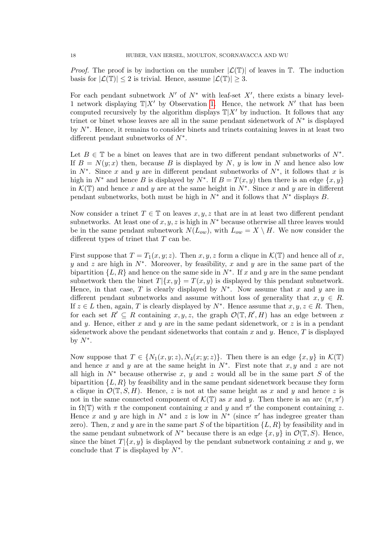*Proof.* The proof is by induction on the number  $|\mathcal{L}(T)|$  of leaves in T. The induction basis for  $|\mathcal{L}(\mathbb{T})| \leq 2$  is trivial. Hence, assume  $|\mathcal{L}(\mathbb{T})| \geq 3$ .

For each pendant subnetwork  $N'$  of  $N^*$  with leaf-set  $X'$ , there exists a binary level-1 network displaying  $\mathbb{T}|X'$  by Observation [1.](#page-3-1) Hence, the network N' that has been computed recursively by the algorithm displays  $\mathbb{T}|X'$  by induction. It follows that any trinet or binet whose leaves are all in the same pendant sidenetwork of  $N^*$  is displayed by N<sup>∗</sup> . Hence, it remains to consider binets and trinets containing leaves in at least two different pendant subnetworks of  $N^*$ .

Let  $B \in \mathbb{T}$  be a binet on leaves that are in two different pendant subnetworks of  $N^*$ . If  $B = N(y; x)$  then, because B is displayed by N, y is low in N and hence also low in  $N^*$ . Since x and y are in different pendant subnetworks of  $N^*$ , it follows that x is high in  $N^*$  and hence B is displayed by  $N^*$ . If  $B = T(x, y)$  then there is an edge  $\{x, y\}$ in  $\mathcal{K}(\mathbb{T})$  and hence x and y are at the same height in  $N^*$ . Since x and y are in different pendant subnetworks, both must be high in  $N^*$  and it follows that  $N^*$  displays B.

Now consider a trinet  $T \in \mathbb{T}$  on leaves  $x, y, z$  that are in at least two different pendant subnetworks. At least one of  $x, y, z$  is high in  $N^*$  because otherwise all three leaves would be in the same pendant subnetwork  $N(L_{ow})$ , with  $L_{ow} = X \setminus H$ . We now consider the different types of trinet that  $T$  can be.

First suppose that  $T = T_1(x, y; z)$ . Then x, y, z form a clique in  $\mathcal{K}(\mathbb{T})$  and hence all of x, y and z are high in  $N^*$ . Moreover, by feasibility, x and y are in the same part of the bipartition  $\{L, R\}$  and hence on the same side in  $N^*$ . If x and y are in the same pendant subnetwork then the binet  $T|\{x, y\} = T(x, y)$  is displayed by this pendant subnetwork. Hence, in that case, T is clearly displayed by  $N^*$ . Now assume that x and y are in different pendant subnetworks and assume without loss of generality that  $x, y \in R$ . If  $z \in L$  then, again, T is clearly displayed by  $N^*$ . Hence assume that  $x, y, z \in R$ . Then, for each set  $R' \subseteq R$  containing  $x, y, z$ , the graph  $\mathcal{O}(\mathbb{T}, R', H)$  has an edge between x and y. Hence, either x and y are in the same pedant sidenetwork, or z is in a pendant sidenetwork above the pendant sidenetworks that contain x and y. Hence,  $T$  is displayed by  $N^*$ .

Now suppose that  $T \in \{N_1(x, y; z), N_4(x; y; z)\}.$  Then there is an edge  $\{x, y\}$  in  $\mathcal{K}(\mathbb{T})$ and hence x and y are at the same height in  $N^*$ . First note that  $x, y$  and z are not all high in  $N^*$  because otherwise x, y and z would all be in the same part S of the bipartition  $\{L, R\}$  by feasibility and in the same pendant sidenetwork because they form a clique in  $\mathcal{O}(\mathbb{T}, S, H)$ . Hence, z is not at the same height as x and y and hence z is not in the same connected component of  $\mathcal{K}(\mathbb{T})$  as x and y. Then there is an arc  $(\pi, \pi')$ in  $\Omega(\mathbb{T})$  with  $\pi$  the component containing x and y and  $\pi'$  the component containing z. Hence x and y are high in  $N^*$  and z is low in  $N^*$  (since  $\pi'$  has indegree greater than zero). Then, x and y are in the same part S of the bipartition  $\{L, R\}$  by feasibility and in the same pendant subnetwork of  $N^*$  because there is an edge  $\{x, y\}$  in  $\mathcal{O}(\mathbb{T}, S)$ . Hence, since the binet  $T|\{x, y\}$  is displayed by the pendant subnetwork containing x and y, we conclude that T is displayed by  $N^*$ .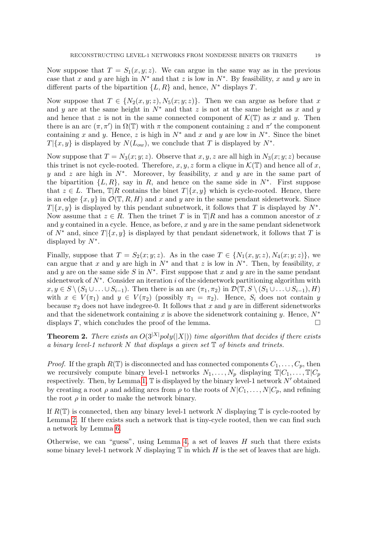Now suppose that  $T = S_1(x, y; z)$ . We can argue in the same way as in the previous case that x and y are high in  $N^*$  and that z is low in  $N^*$ . By feasibility, x and y are in different parts of the bipartition  $\{L, R\}$  and, hence,  $N^*$  displays T.

Now suppose that  $T \in \{N_2(x, y; z), N_5(x; y; z)\}\.$  Then we can argue as before that x and y are at the same height in  $N^*$  and that z is not at the same height as x and y and hence that z is not in the same connected component of  $\mathcal{K}(\mathbb{T})$  as x and y. Then there is an arc  $(\pi, \pi')$  in  $\Omega(\mathbb{T})$  with  $\pi$  the component containing z and  $\pi'$  the component containing x and y. Hence, z is high in  $N^*$  and x and y are low in  $N^*$ . Since the binet  $T|\{x,y\}$  is displayed by  $N(L_{ow})$ , we conclude that T is displayed by  $N^*$ .

Now suppose that  $T = N_3(x; y; z)$ . Observe that x, y, z are all high in  $N_3(x; y; z)$  because this trinet is not cycle-rooted. Therefore, x, y, z form a clique in  $\mathcal{K}(\mathbb{T})$  and hence all of x, y and z are high in  $N^*$ . Moreover, by feasibility, x and y are in the same part of the bipartition  $\{L, R\}$ , say in R, and hence on the same side in  $N^*$ . First suppose that  $z \in L$ . Then,  $\mathbb{T}[R]$  contains the binet  $T[\{x, y\}]$  which is cycle-rooted. Hence, there is an edge  $\{x, y\}$  in  $\mathcal{O}(\mathbb{T}, R, H)$  and x and y are in the same pendant sidenetwork. Since  $T|\{x, y\}$  is displayed by this pendant subnetwork, it follows that T is displayed by  $N^*$ . Now assume that  $z \in R$ . Then the trinet T is in  $\mathbb{T} | R$  and has a common ancestor of x and y contained in a cycle. Hence, as before, x and y are in the same pendant sidenetwork of  $N^*$  and, since  $T|\{x, y\}$  is displayed by that pendant sidenetwork, it follows that T is displayed by  $N^*$ .

Finally, suppose that  $T = S_2(x; y; z)$ . As in the case  $T \in \{N_1(x, y; z), N_4(x; y; z)\}\)$ , we can argue that x and y are high in  $N^*$  and that z is low in  $N^*$ . Then, by feasibility, x and y are on the same side S in  $N^*$ . First suppose that x and y are in the same pendant sidenetwork of  $N^*$ . Consider an iteration i of the sidenetwork partitioning algorithm with  $x, y \in S \setminus (S_1 \cup \ldots \cup S_{i-1})$ . Then there is an arc  $(\pi_1, \pi_2)$  in  $\mathcal{D}(\mathbb{T}, S \setminus (S_1 \cup \ldots \cup S_{i-1}), H)$ with  $x \in V(\pi_1)$  and  $y \in V(\pi_2)$  (possibly  $\pi_1 = \pi_2$ ). Hence,  $S_i$  does not contain y because  $\pi_2$  does not have indegree-0. It follows that x and y are in different sidenetworks and that the sidenetwork containing x is above the sidenetwork containing y. Hence,  $N^*$ displays T, which concludes the proof of the lemma.  $\square$ 

<span id="page-18-0"></span>**Theorem 2.** There exists an  $O(3^{|X|}poly(|X|))$  time algorithm that decides if there exists a binary level-1 network  $N$  that displays a given set  $\mathbb T$  of binets and trinets.

*Proof.* If the graph  $R(\mathbb{T})$  is disconnected and has connected components  $C_1, \ldots, C_p$ , then we recursively compute binary level-1 networks  $N_1, \ldots, N_p$  displaying  $\mathbb{T}[C_1, \ldots, \mathbb{T}[C_p]$ respectively. Then, by Lemma [1,](#page-8-3)  $\mathbb T$  is displayed by the binary level-1 network N' obtained by creating a root  $\rho$  and adding arcs from  $\rho$  to the roots of  $N|C_1, \ldots, N|C_p$ , and refining the root  $\rho$  in order to make the network binary.

If  $R(\mathbb{T})$  is connected, then any binary level-1 network N displaying  $\mathbb{T}$  is cycle-rooted by Lemma [2.](#page-9-2) If there exists such a network that is tiny-cycle rooted, then we can find such a network by Lemma [6.](#page-11-0)

Otherwise, we can "guess", using Lemma [4,](#page-10-1) a set of leaves  $H$  such that there exists some binary level-1 network N displaying  $\mathbb T$  in which H is the set of leaves that are high.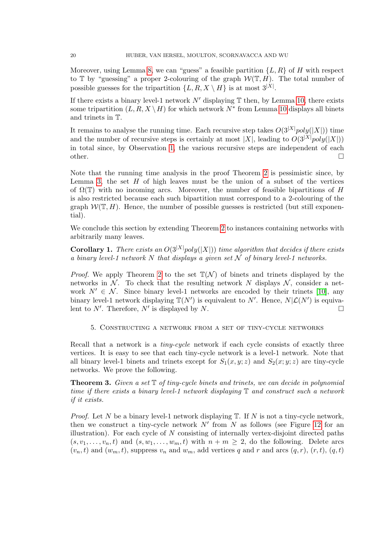Moreover, using Lemma [8,](#page-14-2) we can "guess" a feasible partition  $\{L, R\}$  of H with respect to  $\mathbb T$  by "guessing" a proper 2-colouring of the graph  $\mathcal W(\mathbb T,H)$ . The total number of possible guesses for the tripartition  $\{L, R, X \setminus H\}$  is at most  $3^{|X|}$ .

If there exists a binary level-1 network  $N'$  displaying  $\mathbb T$  then, by Lemma [10,](#page-16-1) there exists some tripartition  $(L, R, X \setminus H)$  for which network  $N^*$  from Lemma [10](#page-16-1) displays all binets and trinets in T.

It remains to analyse the running time. Each recursive step takes  $O(3^{|X|}poly(|X|))$  time and the number of recursive steps is certainly at most |X|, leading to  $O(3^{|X|}poly(|X|))$ in total since, by Observation [1,](#page-3-1) the various recursive steps are independent of each other.

Note that the running time analysis in the proof Theorem [2](#page-18-0) is pessimistic since, by Lemma [3,](#page-9-1) the set  $H$  of high leaves must be the union of a subset of the vertices of  $\Omega(\mathbb{T})$  with no incoming arcs. Moreover, the number of feasible bipartitions of H is also restricted because each such bipartition must correspond to a 2-colouring of the graph  $W(\mathbb{T}, H)$ . Hence, the number of possible guesses is restricted (but still exponential).

We conclude this section by extending Theorem [2](#page-18-0) to instances containing networks with arbitrarily many leaves.

<span id="page-19-2"></span>**Corollary 1.** There exists an  $O(3^{|X|}poly(|X|))$  time algorithm that decides if there exists a binary level-1 network N that displays a given set  $N$  of binary level-1 networks.

*Proof.* We apply Theorem [2](#page-18-0) to the set  $\mathbb{T}(\mathcal{N})$  of binets and trinets displayed by the networks in  $\mathcal N$ . To check that the resulting network N displays  $\mathcal N$ , consider a network  $N' \in \mathcal{N}$ . Since binary level-1 networks are encoded by their trinets [\[10\]](#page-24-12), any binary level-1 network displaying  $\mathbb{T}(N')$  is equivalent to N'. Hence,  $N|\mathcal{L}(N')$  is equivalent to N'. Therefore, N' is displayed by N.

<span id="page-19-0"></span>5. Constructing a network from a set of tiny-cycle networks

Recall that a network is a *tiny-cycle* network if each cycle consists of exactly three vertices. It is easy to see that each tiny-cycle network is a level-1 network. Note that all binary level-1 binets and trinets except for  $S_1(x, y; z)$  and  $S_2(x; y; z)$  are tiny-cycle networks. We prove the following.

<span id="page-19-1"></span>**Theorem 3.** Given a set  $\mathbb{T}$  of tiny-cycle binets and trinets, we can decide in polynomial time if there exists a binary level-1 network displaying  $\mathbb T$  and construct such a network if it exists.

*Proof.* Let N be a binary level-1 network displaying  $\mathbb{T}$ . If N is not a tiny-cycle network, then we construct a tiny-cycle network  $N'$  from N as follows (see Figure [12](#page-20-2) for an illustration). For each cycle of  $N$  consisting of internally vertex-disjoint directed paths  $(s, v_1, \ldots, v_n, t)$  and  $(s, w_1, \ldots, w_m, t)$  with  $n + m \geq 2$ , do the following. Delete arcs  $(v_n, t)$  and  $(w_m, t)$ , suppress  $v_n$  and  $w_m$ , add vertices q and r and arcs  $(q, r)$ ,  $(r, t)$ ,  $(q, t)$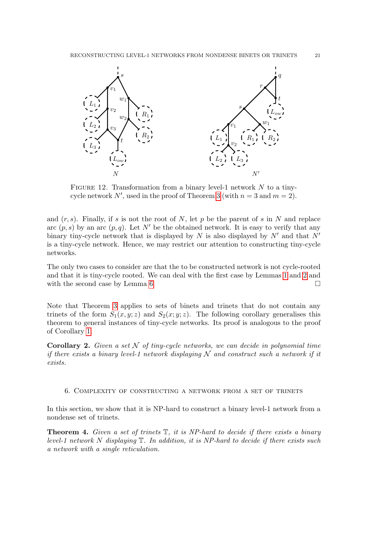

<span id="page-20-2"></span>FIGURE 12. Transformation from a binary level-1 network  $N$  to a tiny-cycle network N', used in the proof of Theorem [3](#page-19-1) (with  $n = 3$  and  $m = 2$ ).

and  $(r, s)$ . Finally, if s is not the root of N, let p be the parent of s in N and replace arc  $(p, s)$  by an arc  $(p, q)$ . Let N' be the obtained network. It is easy to verify that any binary tiny-cycle network that is displayed by N is also displayed by  $N'$  and that  $N'$ is a tiny-cycle network. Hence, we may restrict our attention to constructing tiny-cycle networks.

The only two cases to consider are that the to be constructed network is not cycle-rooted and that it is tiny-cycle rooted. We can deal with the first case by Lemmas [1](#page-8-3) and [2](#page-9-2) and with the second case by Lemma [6.](#page-11-0)  $\Box$ 

Note that Theorem [3](#page-19-1) applies to sets of binets and trinets that do not contain any trinets of the form  $S_1(x, y; z)$  and  $S_2(x; y; z)$ . The following corollary generalises this theorem to general instances of tiny-cycle networks. Its proof is analogous to the proof of Corollary [1.](#page-19-2)

**Corollary 2.** Given a set  $N$  of tiny-cycle networks, we can decide in polynomial time if there exists a binary level-1 network displaying  $N$  and construct such a network if it exists.

### <span id="page-20-0"></span>6. Complexity of constructing a network from a set of trinets

In this section, we show that it is NP-hard to construct a binary level-1 network from a nondense set of trinets.

<span id="page-20-1"></span>**Theorem 4.** Given a set of trinets  $\mathbb{T}$ , it is NP-hard to decide if there exists a binary level-1 network N displaying  $\mathbb T$ . In addition, it is NP-hard to decide if there exists such a network with a single reticulation.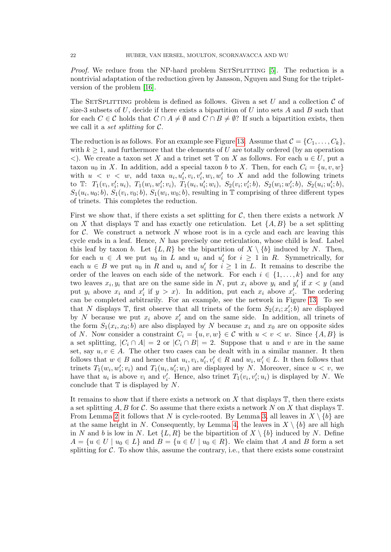Proof. We reduce from the NP-hard problem SETSPLITTING [\[5\]](#page-24-16). The reduction is a nontrivial adaptation of the reduction given by Jansson, Nguyen and Sung for the tripletversion of the problem [\[16\]](#page-24-10).

The SETSPLITTING problem is defined as follows. Given a set U and a collection  $\mathcal C$  of size-3 subsets of U, decide if there exists a bipartition of U into sets A and B such that for each  $C \in \mathcal{C}$  holds that  $C \cap A \neq \emptyset$  and  $C \cap B \neq \emptyset$ ? If such a bipartition exists, then we call it a *set splitting* for  $C$ .

The reduction is as follows. For an example see Figure [13.](#page-22-0) Assume that  $C = \{C_1, \ldots, C_k\},\$ with  $k \geq 1$ , and furthermore that the elements of U are totally ordered (by an operation  $\langle \rangle$ . We create a taxon set X and a trinet set T on X as follows. For each  $u \in U$ , put a taxon  $u_0$  in X. In addition, add a special taxon b to X. Then, for each  $C_i = \{u, v, w\}$ with  $u \leq v \leq w$ , add taxa  $u_i, u'_i, v_i, v'_i, w_i, w'_i$  to X and add the following trinets  $\text{to} \quad T_1(v_i, v'_i; u_i), \ T_1(w_i, w'_i; v_i), \ T_1(u_i, u'_i; w_i), \ S_2(v_i; v'_i; b), \ S_2(w_i; w'_i; b), \ S_2(u_i; u'_i; b),$  $S_1(u_i, u_0; b), S_1(v_i, v_0; b), S_1(w_i, w_0; b)$ , resulting in T comprising of three different types of trinets. This completes the reduction.

First we show that, if there exists a set splitting for  $\mathcal{C}$ , then there exists a network N on X that displays  $\mathbb T$  and has exactly one reticulation. Let  $\{A, B\}$  be a set splitting for  $C$ . We construct a network N whose root is in a cycle and each arc leaving this cycle ends in a leaf. Hence, N has precisely one reticulation, whose child is leaf. Label this leaf by taxon b. Let  $\{L, R\}$  be the bipartition of  $X \setminus \{b\}$  induced by N. Then, for each  $u \in A$  we put  $u_0$  in L and  $u_i$  and  $u'_i$  for  $i \geq 1$  in R. Symmetrically, for each  $u \in B$  we put  $u_0$  in R and  $u_i$  and  $u'_i$  for  $i \geq 1$  in L. It remains to describe the order of the leaves on each side of the network. For each  $i \in \{1, ..., k\}$  and for any two leaves  $x_i, y_i$  that are on the same side in N, put  $x_i$  above  $y_i$  and  $y'_i$  if  $x < y$  (and put  $y_i$  above  $x_i$  and  $x'_i$  if  $y > x$ ). In addition, put each  $x_i$  above  $x'_i$ . The ordering can be completed arbitrarily. For an example, see the network in Figure [13.](#page-22-0) To see that N displays  $\mathbb{T}$ , first observe that all trinets of the form  $S_2(x_i; x'_i; b)$  are displayed by N because we put  $x_i$  above  $x_i'$  and on the same side. In addition, all trinets of the form  $S_1(x_i, x_0; b)$  are also displayed by N because  $x_i$  and  $x_0$  are on opposite sides of N. Now consider a constraint  $C_i = \{u, v, w\} \in \mathcal{C}$  with  $u < v < w$ . Since  $\{A, B\}$  is a set splitting,  $|C_i \cap A| = 2$  or  $|C_i \cap B| = 2$ . Suppose that u and v are in the same set, say  $u, v \in A$ . The other two cases can be dealt with in a similar manner. It then follows that  $w \in B$  and hence that  $u_i, v_i, u'_i, v'_i \in R$  and  $w_i, w'_i \in L$ . It then follows that trinets  $T_1(w_i, w'_i; v_i)$  and  $T_1(u_i, u'_i; w_i)$  are displayed by N. Moreover, since  $u < v$ , we have that  $u_i$  is above  $v_i$  and  $v'_i$ . Hence, also trinet  $T_1(v_i, v'_i; u_i)$  is displayed by N. We conclude that  $\mathbb T$  is displayed by N.

It remains to show that if there exists a network on X that displays  $\mathbb T$ , then there exists a set splitting A, B for C. So assume that there exists a network N on X that displays  $\mathbb{T}$ . From Lemma [2](#page-9-2) it follows that N is cycle-rooted. By Lemma [3,](#page-9-1) all leaves in  $X \setminus \{b\}$  are at the same height in N. Consequently, by Lemma [4,](#page-10-1) the leaves in  $X \setminus \{b\}$  are all high in N and b is low in N. Let  $\{L, R\}$  be the bipartition of  $X \setminus \{b\}$  induced by N. Define  $A = \{u \in U \mid u_0 \in L\}$  and  $B = \{u \in U \mid u_0 \in R\}$ . We claim that A and B form a set splitting for  $\mathcal C$ . To show this, assume the contrary, i.e., that there exists some constraint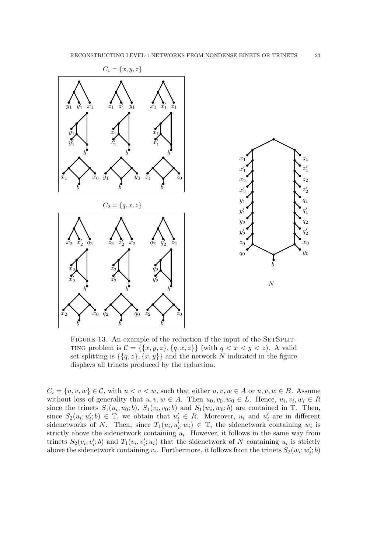

<span id="page-22-0"></span>FIGURE 13. An example of the reduction if the input of the SETSPLIT-TING problem is  $\mathcal{C} = \{\{x, y, z\}, \{q, x, z\}\}\$  (with  $q < x < y < z$ ). A valid set splitting is  $\{\{q, z\}, \{x, y\}\}\$ and the network N indicated in the figure displays all trinets produced by the reduction.

 $C_i = \{u, v, w\} \in \mathcal{C}$ , with  $u < v < w$ , such that either  $u, v, w \in A$  or  $u, v, w \in B$ . Assume without loss of generality that  $u, v, w \in A$ . Then  $u_0, v_0, w_0 \in L$ . Hence,  $u_i, v_i, w_i \in R$ since the trinets  $S_1(u_i, u_0; b)$ ,  $S_1(v_i, v_0; b)$  and  $S_1(w_i, w_0; b)$  are contained in T. Then, since  $S_2(u_i; u'_i; b) \in \mathbb{T}$ , we obtain that  $u'_i \in R$ . Moreover,  $u_i$  and  $u'_i$  are in different sidenetworks of N. Then, since  $T_1(u_i, u'_i; w_i) \in \mathbb{T}$ , the sidenetwork containing  $w_i$  is strictly above the sidenetwork containing  $u_i$ . However, it follows in the same way from trinets  $S_2(v_i; v_i'; b)$  and  $T_1(v_i, v_i'; u_i)$  that the sidenetwork of N containing  $u_i$  is strictly above the sidenetwork containing  $v_i$ . Furthermore, it follows from the trinets  $S_2(w_i; w'_i; b)$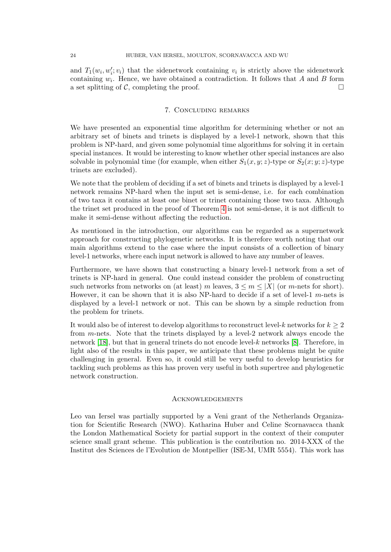and  $T_1(w_i, w'_i; v_i)$  that the sidenetwork containing  $v_i$  is strictly above the sidenetwork containing  $w_i$ . Hence, we have obtained a contradiction. It follows that A and B form a set splitting of C, completing the proof.  $\Box$ 

## 7. Concluding remarks

<span id="page-23-0"></span>We have presented an exponential time algorithm for determining whether or not an arbitrary set of binets and trinets is displayed by a level-1 network, shown that this problem is NP-hard, and given some polynomial time algorithms for solving it in certain special instances. It would be interesting to know whether other special instances are also solvable in polynomial time (for example, when either  $S_1(x, y; z)$ -type or  $S_2(x; y; z)$ -type trinets are excluded).

We note that the problem of deciding if a set of binets and trinets is displayed by a level-1 network remains NP-hard when the input set is semi-dense, i.e. for each combination of two taxa it contains at least one binet or trinet containing those two taxa. Although the trinet set produced in the proof of Theorem [4](#page-20-1) is not semi-dense, it is not difficult to make it semi-dense without affecting the reduction.

As mentioned in the introduction, our algorithms can be regarded as a supernetwork approach for constructing phylogenetic networks. It is therefore worth noting that our main algorithms extend to the case where the input consists of a collection of binary level-1 networks, where each input network is allowed to have any number of leaves.

Furthermore, we have shown that constructing a binary level-1 network from a set of trinets is NP-hard in general. One could instead consider the problem of constructing such networks from networks on (at least) m leaves,  $3 \le m \le |X|$  (or m-nets for short). However, it can be shown that it is also NP-hard to decide if a set of level-1  $m$ -nets is displayed by a level-1 network or not. This can be shown by a simple reduction from the problem for trinets.

It would also be of interest to develop algorithms to reconstruct level-k networks for  $k \geq 2$ from m-nets. Note that the trinets displayed by a level-2 network always encode the network [\[18\]](#page-24-17), but that in general trinets do not encode level- $k$  networks [\[8\]](#page-24-18). Therefore, in light also of the results in this paper, we anticipate that these problems might be quite challenging in general. Even so, it could still be very useful to develop heuristics for tackling such problems as this has proven very useful in both supertree and phylogenetic network construction.

### **ACKNOWLEDGEMENTS**

Leo van Iersel was partially supported by a Veni grant of the Netherlands Organization for Scientific Research (NWO). Katharina Huber and Celine Scornavacca thank the London Mathematical Society for partial support in the context of their computer science small grant scheme. This publication is the contribution no. 2014-XXX of the Institut des Sciences de l'Evolution de Montpellier (ISE-M, UMR 5554). This work has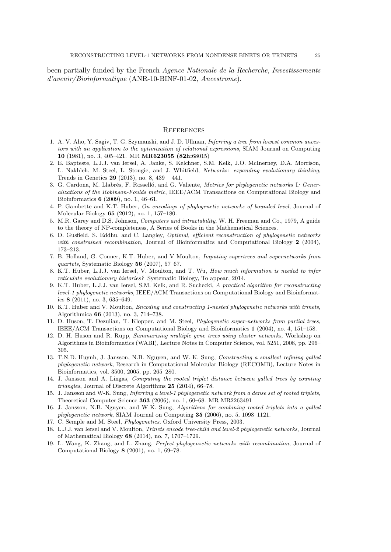been partially funded by the French Agence Nationale de la Recherche, Investissements d'avenir/Bioinformatique (ANR-10-BINF-01-02, Ancestrome).

#### **REFERENCES**

- <span id="page-24-13"></span>1. A. V. Aho, Y. Sagiv, T. G. Szymanski, and J. D. Ullman, Inferring a tree from lowest common ancestors with an application to the optimization of relational expressions, SIAM Journal on Computing 10 (1981), no. 3, 405–421. MR MR623055 (82h:68015)
- <span id="page-24-1"></span>2. E. Bapteste, L.J.J. van Iersel, A. Janke, S. Kelchner, S.M. Kelk, J.O. McInerney, D.A. Morrison, L. Nakhleh, M. Steel, L. Stougie, and J. Whitfield, Networks: expanding evolutionary thinking, Trends in Genetics 29 (2013), no. 8, 439 – 441.
- <span id="page-24-4"></span>3. G. Cardona, M. Llabrés, F. Rosselló, and G. Valiente, *Metrics for phylogenetic networks* I: Generalizations of the Robinson-Foulds metric, IEEE/ACM Transactions on Computational Biology and Bioinformatics 6 (2009), no. 1, 46–61.
- <span id="page-24-11"></span>4. P. Gambette and K.T. Huber, On encodings of phylogenetic networks of bounded level, Journal of Molecular Biology 65 (2012), no. 1, 157–180.
- <span id="page-24-16"></span>5. M.R. Garey and D.S. Johnson, Computers and intractability, W. H. Freeman and Co., 1979, A guide to the theory of NP-completeness, A Series of Books in the Mathematical Sciences.
- <span id="page-24-5"></span>6. D. Gusfield, S. Eddhu, and C. Langley, Optimal, efficient reconstruction of phylogenetic networks with constrained recombination, Journal of Bioinformatics and Computational Biology 2 (2004), 173–213.
- <span id="page-24-14"></span>7. B. Holland, G. Conner, K.T. Huber, and V Moulton, Imputing supertrees and supernetworks from quartets, Systematic Biology 56 (2007), 57–67.
- <span id="page-24-18"></span>8. K.T. Huber, L.J.J. van Iersel, V. Moulton, and T. Wu, How much information is needed to infer reticulate evolutionary histories? Systematic Biology, To appear, 2014.
- <span id="page-24-6"></span>9. K.T. Huber, L.J.J. van Iersel, S.M. Kelk, and R. Suchecki, A practical algorithm for reconstructing level-1 phylogenetic networks, IEEE/ACM Transactions on Computational Biology and Bioinformatics 8 (2011), no. 3, 635–649.
- <span id="page-24-12"></span>10. K.T. Huber and V. Moulton, Encoding and constructing 1-nested phylogenetic networks with trinets, Algorithmica 66 (2013), no. 3, 714–738.
- <span id="page-24-15"></span>11. D. Huson, T. Dezulian, T. Klopper, and M. Steel, Phylogenetic super-networks from partial trees, IEEE/ACM Transactions on Computational Biology and Bioinformatics 1 (2004), no. 4, 151–158.
- <span id="page-24-2"></span>12. D. H. Huson and R. Rupp, Summarizing multiple gene trees using cluster networks, Workshop on Algorithms in Bioinformatics (WABI), Lecture Notes in Computer Science, vol. 5251, 2008, pp. 296– 305.
- <span id="page-24-7"></span>13. T.N.D. Huynh, J. Jansson, N.B. Nguyen, and W.-K. Sung, Constructing a smallest refining galled phylogenetic network, Research in Computational Molecular Biology (RECOMB), Lecture Notes in Bioinformatics, vol. 3500, 2005, pp. 265–280.
- <span id="page-24-8"></span>14. J. Jansson and A. Lingas, Computing the rooted triplet distance between galled trees by counting triangles, Journal of Discrete Algorithms 25 (2014), 66–78.
- <span id="page-24-9"></span>15. J. Jansson and W-K. Sung, Inferring a level-1 phylogenetic network from a dense set of rooted triplets, Theoretical Computer Science 363 (2006), no. 1, 60–68. MR MR2263491
- <span id="page-24-10"></span>16. J. Jansson, N.B. Nguyen, and W-K. Sung, Algorithms for combining rooted triplets into a galled phylogenetic network, SIAM Journal on Computing 35 (2006), no. 5, 1098–1121.
- <span id="page-24-0"></span>17. C. Semple and M. Steel, Phylogenetics, Oxford University Press, 2003.
- <span id="page-24-17"></span>18. L.J.J. van Iersel and V. Moulton, Trinets encode tree-child and level-2 phylogenetic networks, Journal of Mathematical Biology 68 (2014), no. 7, 1707–1729.
- <span id="page-24-3"></span>19. L. Wang, K. Zhang, and L. Zhang, Perfect phylogensetic networks with recombination, Journal of Computational Biology 8 (2001), no. 1, 69–78.